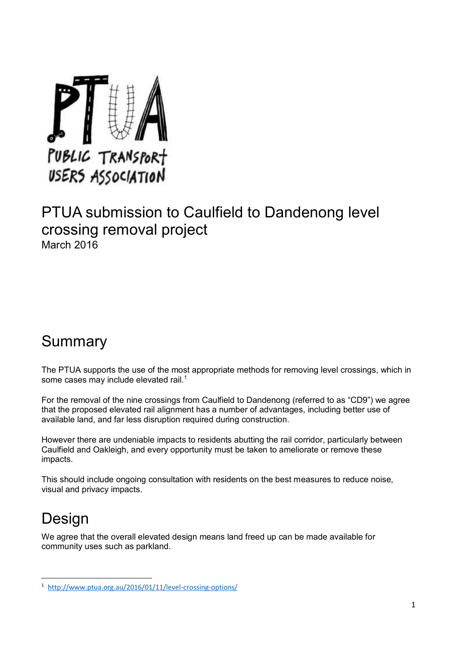

### PTUA submission to Caulfield to Dandenong level crossing removal project March 2016

### Summary

The PTUA supports the use of the most appropriate methods for removing level crossings, which in some cases may include elevated rail.<sup>1</sup>

For the removal of the nine crossings from Caulfield to Dandenong (referred to as "CD9") we agree that the proposed elevated rail alignment has a number of advantages, including better use of available land, and far less disruption required during construction.

However there are undeniable impacts to residents abutting the rail corridor, particularly between Caulfield and Oakleigh, and every opportunity must be taken to ameliorate or remove these impacts.

This should include ongoing consultation with residents on the best measures to reduce noise, visual and privacy impacts.

# **Design**

**.** 

We agree that the overall elevated design means land freed up can be made available for community uses such as parkland.

<sup>1</sup> <http://www.ptua.org.au/2016/01/11/level-crossing-options/>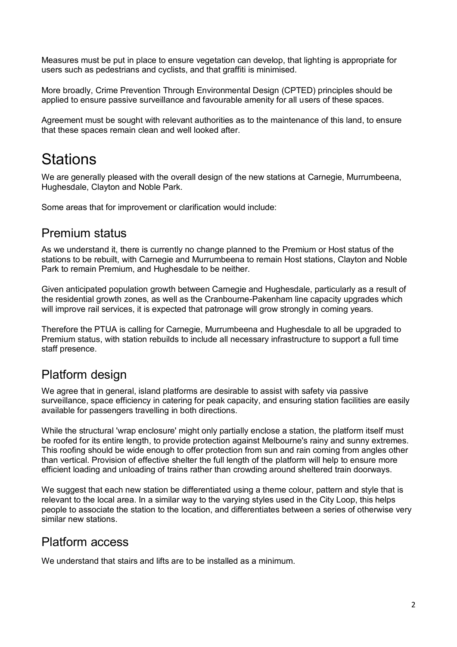Measures must be put in place to ensure vegetation can develop, that lighting is appropriate for users such as pedestrians and cyclists, and that graffiti is minimised.

More broadly, Crime Prevention Through Environmental Design (CPTED) principles should be applied to ensure passive surveillance and favourable amenity for all users of these spaces.

Agreement must be sought with relevant authorities as to the maintenance of this land, to ensure that these spaces remain clean and well looked after.

## **Stations**

We are generally pleased with the overall design of the new stations at Carnegie, Murrumbeena, Hughesdale, Clayton and Noble Park.

Some areas that for improvement or clarification would include:

### Premium status

As we understand it, there is currently no change planned to the Premium or Host status of the stations to be rebuilt, with Carnegie and Murrumbeena to remain Host stations, Clayton and Noble Park to remain Premium, and Hughesdale to be neither.

Given anticipated population growth between Carnegie and Hughesdale, particularly as a result of the residential growth zones, as well as the Cranbourne-Pakenham line capacity upgrades which will improve rail services, it is expected that patronage will grow strongly in coming years.

Therefore the PTUA is calling for Carnegie, Murrumbeena and Hughesdale to all be upgraded to Premium status, with station rebuilds to include all necessary infrastructure to support a full time staff presence.

### Platform design

We agree that in general, island platforms are desirable to assist with safety via passive surveillance, space efficiency in catering for peak capacity, and ensuring station facilities are easily available for passengers travelling in both directions.

While the structural 'wrap enclosure' might only partially enclose a station, the platform itself must be roofed for its entire length, to provide protection against Melbourne's rainy and sunny extremes. This roofing should be wide enough to offer protection from sun and rain coming from angles other than vertical. Provision of effective shelter the full length of the platform will help to ensure more efficient loading and unloading of trains rather than crowding around sheltered train doorways.

We suggest that each new station be differentiated using a theme colour, pattern and style that is relevant to the local area. In a similar way to the varying styles used in the City Loop, this helps people to associate the station to the location, and differentiates between a series of otherwise very similar new stations.

#### Platform access

We understand that stairs and lifts are to be installed as a minimum.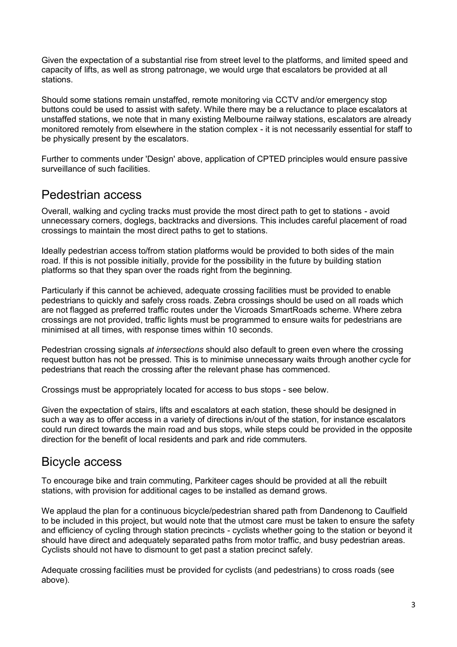Given the expectation of a substantial rise from street level to the platforms, and limited speed and capacity of lifts, as well as strong patronage, we would urge that escalators be provided at all stations.

Should some stations remain unstaffed, remote monitoring via CCTV and/or emergency stop buttons could be used to assist with safety. While there may be a reluctance to place escalators at unstaffed stations, we note that in many existing Melbourne railway stations, escalators are already monitored remotely from elsewhere in the station complex - it is not necessarily essential for staff to be physically present by the escalators.

Further to comments under 'Design' above, application of CPTED principles would ensure passive surveillance of such facilities.

#### Pedestrian access

Overall, walking and cycling tracks must provide the most direct path to get to stations - avoid unnecessary corners, doglegs, backtracks and diversions. This includes careful placement of road crossings to maintain the most direct paths to get to stations.

Ideally pedestrian access to/from station platforms would be provided to both sides of the main road. If this is not possible initially, provide for the possibility in the future by building station platforms so that they span over the roads right from the beginning.

Particularly if this cannot be achieved, adequate crossing facilities must be provided to enable pedestrians to quickly and safely cross roads. Zebra crossings should be used on all roads which are not flagged as preferred traffic routes under the Vicroads SmartRoads scheme. Where zebra crossings are not provided, traffic lights must be programmed to ensure waits for pedestrians are minimised at all times, with response times within 10 seconds.

Pedestrian crossing signals *at intersections* should also default to green even where the crossing request button has not be pressed. This is to minimise unnecessary waits through another cycle for pedestrians that reach the crossing after the relevant phase has commenced.

Crossings must be appropriately located for access to bus stops - see below.

Given the expectation of stairs, lifts and escalators at each station, these should be designed in such a way as to offer access in a variety of directions in/out of the station, for instance escalators could run direct towards the main road and bus stops, while steps could be provided in the opposite direction for the benefit of local residents and park and ride commuters.

#### Bicycle access

To encourage bike and train commuting, Parkiteer cages should be provided at all the rebuilt stations, with provision for additional cages to be installed as demand grows.

We applaud the plan for a continuous bicycle/pedestrian shared path from Dandenong to Caulfield to be included in this project, but would note that the utmost care must be taken to ensure the safety and efficiency of cycling through station precincts - cyclists whether going to the station or beyond it should have direct and adequately separated paths from motor traffic, and busy pedestrian areas. Cyclists should not have to dismount to get past a station precinct safely.

Adequate crossing facilities must be provided for cyclists (and pedestrians) to cross roads (see above).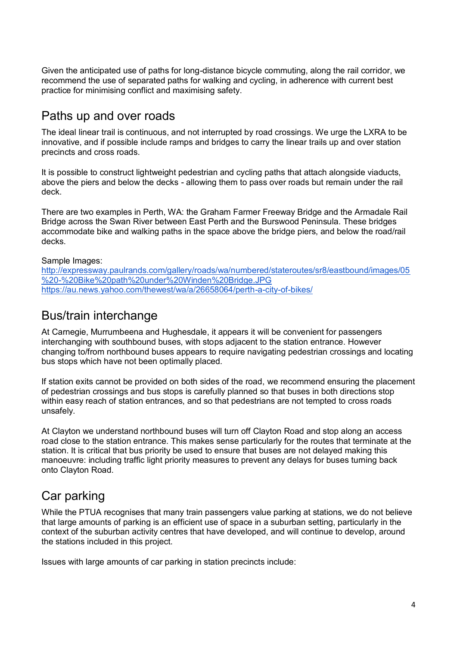Given the anticipated use of paths for long-distance bicycle commuting, along the rail corridor, we recommend the use of separated paths for walking and cycling, in adherence with current best practice for minimising conflict and maximising safety.

#### Paths up and over roads

The ideal linear trail is continuous, and not interrupted by road crossings. We urge the LXRA to be innovative, and if possible include ramps and bridges to carry the linear trails up and over station precincts and cross roads.

It is possible to construct lightweight pedestrian and cycling paths that attach alongside viaducts, above the piers and below the decks - allowing them to pass over roads but remain under the rail deck.

There are two examples in Perth, WA: the Graham Farmer Freeway Bridge and the Armadale Rail Bridge across the Swan River between East Perth and the Burswood Peninsula. These bridges accommodate bike and walking paths in the space above the bridge piers, and below the road/rail decks.

Sample Images:

[http://expressway.paulrands.com/gallery/roads/wa/numbered/stateroutes/sr8/eastbound/images/05](http://expressway.paulrands.com/gallery/roads/wa/numbered/stateroutes/sr8/eastbound/images/05%20-%20Bike%20path%20under%20Winden%20Bridge.JPG) [%20-%20Bike%20path%20under%20Winden%20Bridge.JPG](http://expressway.paulrands.com/gallery/roads/wa/numbered/stateroutes/sr8/eastbound/images/05%20-%20Bike%20path%20under%20Winden%20Bridge.JPG) <https://au.news.yahoo.com/thewest/wa/a/26658064/perth-a-city-of-bikes/>

#### Bus/train interchange

At Carnegie, Murrumbeena and Hughesdale, it appears it will be convenient for passengers interchanging with southbound buses, with stops adjacent to the station entrance. However changing to/from northbound buses appears to require navigating pedestrian crossings and locating bus stops which have not been optimally placed.

If station exits cannot be provided on both sides of the road, we recommend ensuring the placement of pedestrian crossings and bus stops is carefully planned so that buses in both directions stop within easy reach of station entrances, and so that pedestrians are not tempted to cross roads unsafely.

At Clayton we understand northbound buses will turn off Clayton Road and stop along an access road close to the station entrance. This makes sense particularly for the routes that terminate at the station. It is critical that bus priority be used to ensure that buses are not delayed making this manoeuvre: including traffic light priority measures to prevent any delays for buses turning back onto Clayton Road.

### Car parking

While the PTUA recognises that many train passengers value parking at stations, we do not believe that large amounts of parking is an efficient use of space in a suburban setting, particularly in the context of the suburban activity centres that have developed, and will continue to develop, around the stations included in this project.

Issues with large amounts of car parking in station precincts include: